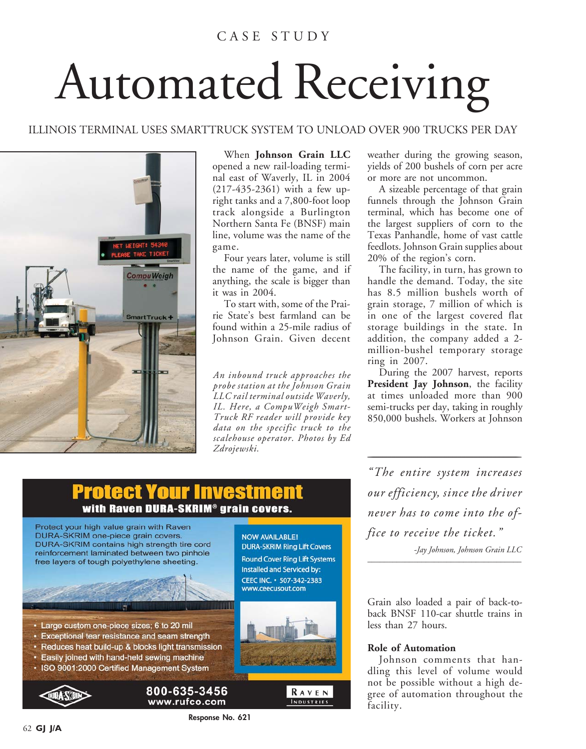### C A S E S T U D Y

# Automated Receiving

#### ILLINOIS TERMINAL USES SMARTTRUCK SYSTEM TO UNLOAD OVER 900 TRUCKS PER DAY



When **Johnson Grain LLC** opened a new rail-loading terminal east of Waverly, IL in 2004 (217-435-2361) with a few upright tanks and a 7,800-foot loop track alongside a Burlington Northern Santa Fe (BNSF) main line, volume was the name of the game.

Four years later, volume is still the name of the game, and if anything, the scale is bigger than it was in 2004.

To start with, some of the Prairie State's best farmland can be found within a 25-mile radius of Johnson Grain. Given decent

*An inbound truck approaches the probe station at the Johnson Grain LLC rail terminal outside Waverly, IL. Here, a CompuWeigh Smart-Truck RF reader will provide key data on the specific truck to the scalehouse operator. Photos by Ed Zdrojewski.*

weather during the growing season, yields of 200 bushels of corn per acre or more are not uncommon.

A sizeable percentage of that grain funnels through the Johnson Grain terminal, which has become one of the largest suppliers of corn to the Texas Panhandle, home of vast cattle feedlots. Johnson Grain supplies about 20% of the region's corn.

The facility, in turn, has grown to handle the demand. Today, the site has 8.5 million bushels worth of grain storage, 7 million of which is in one of the largest covered flat storage buildings in the state. In addition, the company added a 2 million-bushel temporary storage ring in 2007.

During the 2007 harvest, reports President Jay Johnson, the facility at times unloaded more than 900 semi-trucks per day, taking in roughly 850,000 bushels. Workers at Johnson

## Protect Your Investm with Raven DURA-SKRIM® grain covers.



**Response No. 621**

*"The entire system increases our efficiency, since the driver never has to come into the office to receive the ticket."*

*\_\_\_\_\_\_\_\_\_\_\_\_\_\_\_\_\_\_\_\_\_\_\_\_\_\_\_\_\_\_\_\_\_\_\_\_\_\_\_\_\_\_\_\_\_\_\_\_\_\_\_\_\_\_\_\_\_\_\_\_\_\_\_\_\_\_\_\_\_\_\_\_\_\_\_\_\_\_\_\_\_\_\_\_\_\_\_\_\_\_\_\_\_\_\_\_\_\_\_\_\_\_\_\_\_\_\_\_\_\_\_*

*-Jay Johnson, Johnson Grain LLC \_\_\_\_\_\_\_\_\_\_\_\_\_\_\_\_\_\_\_\_\_\_\_\_\_\_\_\_\_\_\_\_\_\_\_\_\_*

Grain also loaded a pair of back-toback BNSF 110-car shuttle trains in less than 27 hours.

#### **Role of Automation**

Johnson comments that handling this level of volume would not be possible without a high degree of automation throughout the facility.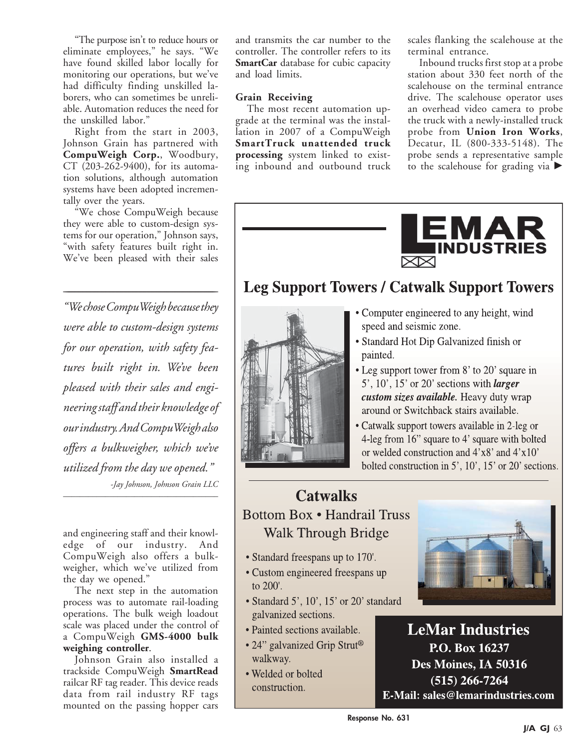"The purpose isn't to reduce hours or eliminate employees," he says. "We have found skilled labor locally for monitoring our operations, but we've had difficulty finding unskilled laborers, who can sometimes be unreliable. Automation reduces the need for the unskilled labor."

Right from the start in 2003, Johnson Grain has partnered with **CompuWeigh Corp.**, Woodbury, CT (203-262-9400), for its automation solutions, although automation systems have been adopted incrementally over the years.

"We chose CompuWeigh because they were able to custom-design systems for our operation," Johnson says, "with safety features built right in. We've been pleased with their sales

*\_\_\_\_\_\_\_\_\_\_\_\_\_\_\_\_\_\_\_\_\_\_\_\_\_\_\_\_\_\_\_\_\_\_\_\_\_\_\_\_\_\_\_\_\_\_\_\_\_\_\_\_\_\_\_\_\_\_\_\_\_\_\_\_\_\_\_\_\_\_\_\_\_\_\_\_\_\_\_\_\_\_\_\_\_\_\_\_\_\_\_\_\_\_\_\_\_\_\_\_\_\_\_\_\_\_\_\_\_\_\_*

*"We chose CompuWeigh because they were able to custom-design systems for our operation, with safety features built right in. We've been pleased with their sales and engineering staff and their knowledge of our industry. And CompuWeigh also offers a bulkweigher, which we've utilized from the day we opened." -Jay Johnson, Johnson Grain LLC \_\_\_\_\_\_\_\_\_\_\_\_\_\_\_\_\_\_\_\_\_\_\_\_\_\_\_\_\_\_\_\_\_\_\_\_\_*

and engineering staff and their knowledge of our industry. And CompuWeigh also offers a bulkweigher, which we've utilized from the day we opened."

The next step in the automation process was to automate rail-loading operations. The bulk weigh loadout scale was placed under the control of a CompuWeigh **GMS-4000 bulk weighing controller**.

Johnson Grain also installed a trackside CompuWeigh **SmartRead** railcar RF tag reader. This device reads data from rail industry RF tags mounted on the passing hopper cars

and transmits the car number to the controller. The controller refers to its **SmartCar** database for cubic capacity and load limits.

#### **Grain Receiving**

The most recent automation upgrade at the terminal was the installation in 2007 of a CompuWeigh **SmartTruck unattended truck processing** system linked to existing inbound and outbound truck scales flanking the scalehouse at the terminal entrance.

Inbound trucks first stop at a probe station about 330 feet north of the scalehouse on the terminal entrance drive. The scalehouse operator uses an overhead video camera to probe the truck with a newly-installed truck probe from **Union Iron Works**, Decatur, IL (800-333-5148). The probe sends a representative sample to the scalehouse for grading via  $\blacktriangleright$ 



# **Leg Support Towers / Catwalk Support Towers**



- Computer engineered to any height, wind speed and seismic zone.
- Standard Hot Dip Galvanized finish or painted.
- Leg support tower from 8' to 20' square in 5',  $10'$ ,  $15'$  or  $20'$  sections with *larger* custom sizes available. Heavy duty wrap around or Switchback stairs available.
- Catwalk support towers available in 2-leg or 4-leg from 16" square to 4' square with bolted or welded construction and  $4'x8'$  and  $4'x10'$ bolted construction in 5', 10', 15' or 20' sections.

## **Catwalks Bottom Box • Handrail Truss Walk Through Bridge**

- Standard freespans up to 170'.
- Custom engineered freespans up to 200'.
- Standard 5', 10', 15' or 20' standard galvanized sections.
- · Painted sections available.
- 24" galvanized Grip Strut<sup>®</sup> walkway.
- Welded or bolted construction.



**LeMar Industries** P.O. Box 16237 Des Moines, IA 50316  $(515)$  266-7264 E-Mail: sales@lemarindustries.com